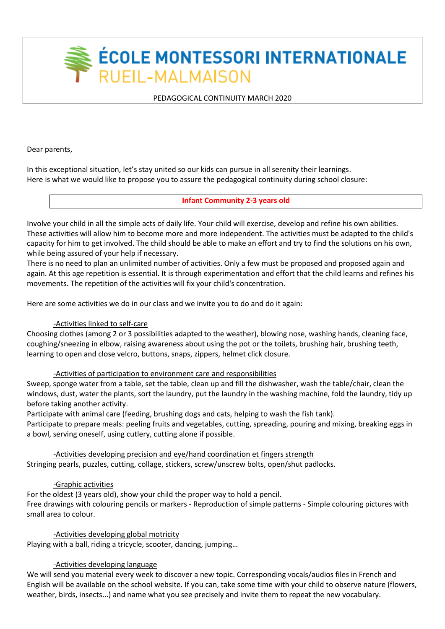**ÉCOLE MONTESSORI INTERNATIONALE** RUEIL-MALMAISON

# PEDAGOGICAL CONTINUITY MARCH 2020

Dear parents,

In this exceptional situation, let's stay united so our kids can pursue in all serenity their learnings. Here is what we would like to propose you to assure the pedagogical continuity during school closure:

**Infant Community 2-3 years old**

Involve your child in all the simple acts of daily life. Your child will exercise, develop and refine his own abilities. These activities will allow him to become more and more independent. The activities must be adapted to the child's capacity for him to get involved. The child should be able to make an effort and try to find the solutions on his own, while being assured of your help if necessary.

There is no need to plan an unlimited number of activities. Only a few must be proposed and proposed again and again. At this age repetition is essential. It is through experimentation and effort that the child learns and refines his movements. The repetition of the activities will fix your child's concentration.

Here are some activities we do in our class and we invite you to do and do it again:

# -Activities linked to self-care

Choosing clothes (among 2 or 3 possibilities adapted to the weather), blowing nose, washing hands, cleaning face, coughing/sneezing in elbow, raising awareness about using the pot or the toilets, brushing hair, brushing teeth, learning to open and close velcro, buttons, snaps, zippers, helmet click closure.

## -Activities of participation to environment care and responsibilities

Sweep, sponge water from a table, set the table, clean up and fill the dishwasher, wash the table/chair, clean the windows, dust, water the plants, sort the laundry, put the laundry in the washing machine, fold the laundry, tidy up before taking another activity.

Participate with animal care (feeding, brushing dogs and cats, helping to wash the fish tank). Participate to prepare meals: peeling fruits and vegetables, cutting, spreading, pouring and mixing, breaking eggs in a bowl, serving oneself, using cutlery, cutting alone if possible.

-Activities developing precision and eye/hand coordination et fingers strength Stringing pearls, puzzles, cutting, collage, stickers, screw/unscrew bolts, open/shut padlocks.

# -Graphic activities

For the oldest (3 years old), show your child the proper way to hold a pencil. Free drawings with colouring pencils or markers - Reproduction of simple patterns - Simple colouring pictures with small area to colour.

# -Activities developing global motricity

Playing with a ball, riding a tricycle, scooter, dancing, jumping…

# -Activities developing language

We will send you material every week to discover a new topic. Corresponding vocals/audios files in French and English will be available on the school website. If you can, take some time with your child to observe nature (flowers, weather, birds, insects...) and name what you see precisely and invite them to repeat the new vocabulary.